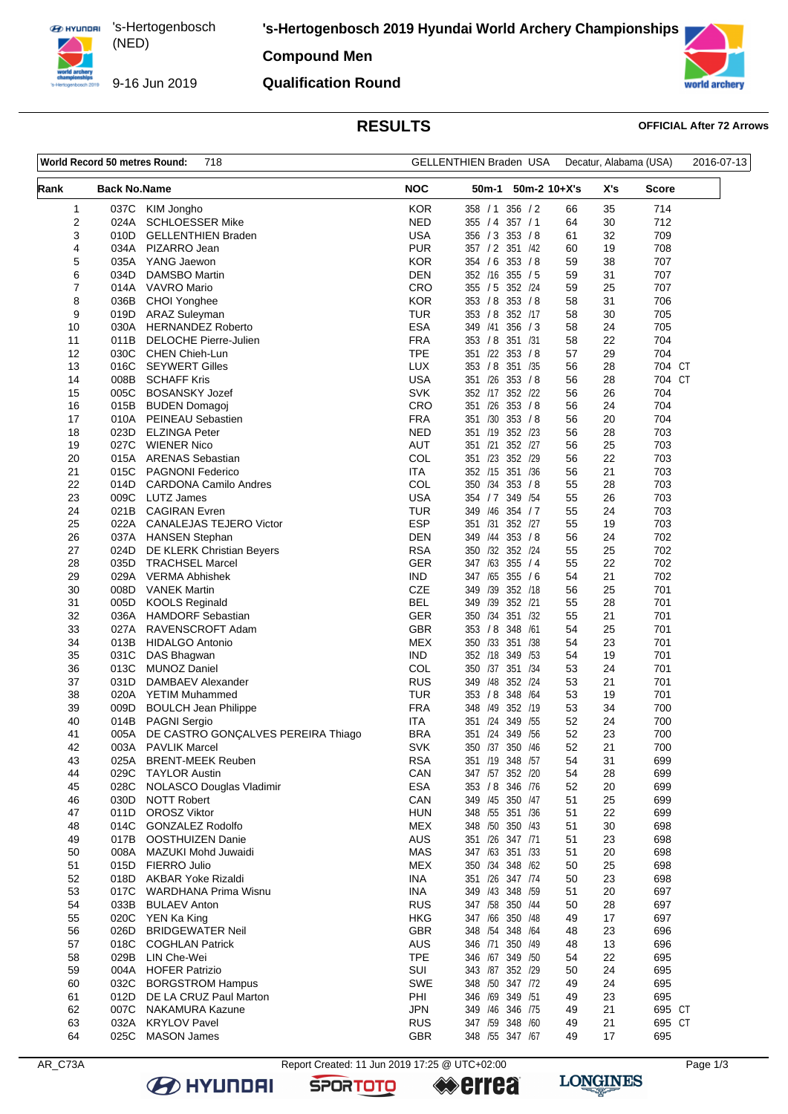**ED HYUNDRI** 's-Hertogenbosch

9-16 Jun 2019

(NED) 

# **Compound Men**

## **Qualification Round**



## **RESULTS OFFICIAL After 72 Arrows**

| 718<br>World Record 50 metres Round: |                     |                                                    | <b>GELLENTHIEN Braden USA</b> | Decatur, Alabama (USA)                  |          |          | 2016-07-13       |  |
|--------------------------------------|---------------------|----------------------------------------------------|-------------------------------|-----------------------------------------|----------|----------|------------------|--|
| Rank                                 | <b>Back No.Name</b> |                                                    | <b>NOC</b>                    | $50m-2$ 10+X's<br>50m-1                 |          | X's      | Score            |  |
| 1                                    | 037C                | KIM Jongho                                         | <b>KOR</b>                    | 356 / 2<br>358 / 1                      | 66       | 35       | 714              |  |
| 2                                    | 024A                | <b>SCHLOESSER Mike</b>                             | <b>NED</b>                    | 355 / 4<br>357 / 1                      | 64       | 30       | 712              |  |
| 3                                    | 010D                | <b>GELLENTHIEN Braden</b>                          | <b>USA</b>                    | 356 / 3<br>353 / 8                      | 61       | 32       | 709              |  |
| 4                                    | 034A                | PIZARRO Jean                                       | <b>PUR</b>                    | 357 / 2 351 / 42                        | 60       | 19       | 708              |  |
| 5                                    | 035A                | YANG Jaewon                                        | <b>KOR</b>                    | 353 / 8<br>354 / 6                      | 59       | 38       | 707              |  |
| 6<br>7                               | 034D<br>014A        | <b>DAMSBO Martin</b><br>VAVRO Mario                | <b>DEN</b><br>CRO             | 352 /16<br>355 / 5<br>355 / 5 352 /24   | 59<br>59 | 31<br>25 | 707<br>707       |  |
| 8                                    | 036B                | CHOI Yonghee                                       | <b>KOR</b>                    | 353 / 8 353 / 8                         | 58       | 31       | 706              |  |
| 9                                    | 019D                | <b>ARAZ Suleyman</b>                               | <b>TUR</b>                    | 353 / 8<br>352 /17                      | 58       | 30       | 705              |  |
| 10                                   | 030A                | <b>HERNANDEZ Roberto</b>                           | <b>ESA</b>                    | 349 /41<br>356 / 3                      | 58       | 24       | 705              |  |
| 11                                   | 011B                | <b>DELOCHE Pierre-Julien</b>                       | <b>FRA</b>                    | 353 / 8 351 / 31                        | 58       | 22       | 704              |  |
| 12                                   | 030C                | <b>CHEN Chieh-Lun</b>                              | <b>TPE</b>                    | 351 /22 353 / 8                         | 57       | 29       | 704              |  |
| 13                                   | 016C                | <b>SEYWERT Gilles</b>                              | LUX                           | 353 / 8 351 / 35                        | 56       | 28       | 704 CT           |  |
| 14                                   | 008B                | <b>SCHAFF Kris</b>                                 | <b>USA</b>                    | 351 /26 353 / 8                         | 56       | 28       | 704 CT           |  |
| 15                                   | 005C                | <b>BOSANSKY Jozef</b>                              | <b>SVK</b>                    | 352 /17 352 /22                         | 56       | 26       | 704              |  |
| 16                                   | 015B                | <b>BUDEN Domagoj</b>                               | CRO                           | 351 /26<br>353 / 8                      | 56       | 24       | 704              |  |
| 17                                   | 010A                | PEINEAU Sebastien                                  | <b>FRA</b>                    | 351 /30<br>353 / 8                      | 56       | 20       | 704              |  |
| 18                                   | 023D                | <b>ELZINGA Peter</b>                               | <b>NED</b>                    | 352 /23<br>351 /19                      | 56       | 28       | 703              |  |
| 19                                   | 027C                | <b>WIENER Nico</b>                                 | AUT<br>COL                    | 351 /21<br>352 /27                      | 56<br>56 | 25<br>22 | 703              |  |
| 20<br>21                             | 015A<br>015C        | <b>ARENAS Sebastian</b><br><b>PAGNONI Federico</b> | <b>ITA</b>                    | 351 /23<br>352 /29<br>352 /15 351 /36   | 56       | 21       | 703<br>703       |  |
| 22                                   | 014D                | <b>CARDONA Camilo Andres</b>                       | COL                           | 350 /34 353 /8                          | 55       | 28       | 703              |  |
| 23                                   | 009C                | <b>LUTZ James</b>                                  | <b>USA</b>                    | 354 / 7<br>349 / 54                     | 55       | 26       | 703              |  |
| 24                                   | 021B                | <b>CAGIRAN</b> Evren                               | TUR                           | 349 /46 354 / 7                         | 55       | 24       | 703              |  |
| 25                                   | 022A                | <b>CANALEJAS TEJERO Victor</b>                     | <b>ESP</b>                    | 351 /31 352 /27                         | 55       | 19       | 703              |  |
| 26                                   | 037A                | <b>HANSEN Stephan</b>                              | <b>DEN</b>                    | /44<br>353 / 8<br>349                   | 56       | 24       | 702              |  |
| 27                                   | 024D                | DE KLERK Christian Beyers                          | <b>RSA</b>                    | 350 /32 352 /24                         | 55       | 25       | 702              |  |
| 28                                   | 035D                | <b>TRACHSEL Marcel</b>                             | <b>GER</b>                    | 347 /63<br>355 / 4                      | 55       | 22       | 702              |  |
| 29                                   | 029A                | <b>VERMA Abhishek</b>                              | IND.                          | 347 /65<br>355 / 6                      | 54       | 21       | 702              |  |
| 30                                   | 008D                | <b>VANEK Martin</b>                                | <b>CZE</b>                    | 349 /39 352 /18                         | 56       | 25       | 701              |  |
| 31                                   | 005D                | <b>KOOLS Reginald</b>                              | <b>BEL</b>                    | 349 /39<br>352 /21                      | 55       | 28       | 701              |  |
| 32                                   | 036A                | <b>HAMDORF Sebastian</b>                           | <b>GER</b>                    | 350 /34<br>351 /32                      | 55       | 21       | 701              |  |
| 33                                   | 027A                | RAVENSCROFT Adam                                   | <b>GBR</b>                    | 353 / 8 348<br>/61<br>351               | 54<br>54 | 25<br>23 | 701              |  |
| 34<br>35                             | 013B<br>031C        | <b>HIDALGO Antonio</b><br>DAS Bhagwan              | <b>MEX</b><br>IND.            | 350 /33<br>/38<br>352 /18<br>349<br>/53 | 54       | 19       | 701<br>701       |  |
| 36                                   | 013C                | <b>MUNOZ Daniel</b>                                | COL                           | 350 /37 351 /34                         | 53       | 24       | 701              |  |
| 37                                   | 031D                | DAMBAEV Alexander                                  | <b>RUS</b>                    | 349 /48 352 /24                         | 53       | 21       | 701              |  |
| 38                                   | 020A                | <b>YETIM Muhammed</b>                              | <b>TUR</b>                    | 348<br>353 / 8<br>/64                   | 53       | 19       | 701              |  |
| 39                                   | 009D                | <b>BOULCH Jean Philippe</b>                        | <b>FRA</b>                    | 348 /49<br>352 /19                      | 53       | 34       | 700              |  |
| 40                                   | 014B                | <b>PAGNI Sergio</b>                                | ITA                           | /24<br>349<br>/55<br>351                | 52       | 24       | 700              |  |
| 41                                   | 005A                | DE CASTRO GONÇALVES PEREIRA Thiago                 | <b>BRA</b>                    | 351 /24 349 /56                         | 52       | 23       | 700              |  |
| 42                                   |                     | 003A PAVLIK Marcel                                 | SVK                           | 350 /37 350 /46                         | 52       | 21       | 700              |  |
| 43                                   | 025A                | <b>BRENT-MEEK Reuben</b>                           | <b>RSA</b>                    | 351 /19 348 /57                         | 54       | 31       | 699              |  |
| 44                                   | 029C                | <b>TAYLOR Austin</b>                               | CAN                           | 347 /57 352 /20                         | 54       | 28       | 699              |  |
| 45                                   | 028C                | NOLASCO Douglas Vladimir                           | ESA                           | 353 / 8 346 / 76                        | 52       | 20       | 699              |  |
| 46                                   | 030D                | <b>NOTT Robert</b>                                 | CAN<br><b>HUN</b>             | 349 /45 350 /47                         | 51       | 25       | 699              |  |
| 47<br>48                             | 011D<br>014C        | <b>OROSZ Viktor</b><br><b>GONZALEZ Rodolfo</b>     | <b>MEX</b>                    | 348 / 55 351 / 36<br>348 /50 350 /43    | 51<br>51 | 22<br>30 | 699<br>698       |  |
| 49                                   | 017B                | OOSTHUIZEN Danie                                   | AUS                           | 351 /26 347 /71                         | 51       | 23       | 698              |  |
| 50                                   | 008A                | MAZUKI Mohd Juwaidi                                | MAS                           | 347 /63 351 /33                         | 51       | 20       | 698              |  |
| 51                                   | 015D                | FIERRO Julio                                       | <b>MEX</b>                    | 350 /34 348 /62                         | 50       | 25       | 698              |  |
| 52                                   | 018D                | <b>AKBAR Yoke Rizaldi</b>                          | INA                           | 351 /26 347 /74                         | 50       | 23       | 698              |  |
| 53                                   | 017C                | WARDHANA Prima Wisnu                               | INA                           | 349 /43 348 /59                         | 51       | 20       | 697              |  |
| 54                                   | 033B                | <b>BULAEV Anton</b>                                | <b>RUS</b>                    | 347 /58 350 /44                         | 50       | 28       | 697              |  |
| 55                                   | 020C                | YEN Ka King                                        | HKG                           | 347 /66 350 /48                         | 49       | 17       | 697              |  |
| 56                                   | 026D                | <b>BRIDGEWATER Neil</b>                            | GBR                           | 348 /54 348 /64                         | 48       | 23       | 696              |  |
| 57                                   | 018C                | <b>COGHLAN Patrick</b>                             | AUS                           | 346 /71 350 /49                         | 48       | 13       | 696              |  |
| 58                                   | 029B                | LIN Che-Wei                                        | <b>TPE</b>                    | 346 /67 349 /50                         | 54       | 22       | 695              |  |
| 59                                   | 004A                | <b>HOFER Patrizio</b>                              | SUI                           | 343 /87 352 /29                         | 50       | 24       | 695              |  |
| 60                                   | 032C                | <b>BORGSTROM Hampus</b>                            | <b>SWE</b>                    | 348 /50 347 /72                         | 49       | 24       | 695              |  |
| 61                                   | 012D                | DE LA CRUZ Paul Marton                             | PHI                           | 346 /69 349 /51                         | 49       | 23       | 695              |  |
| 62<br>63                             | 007C<br>032A        | <b>NAKAMURA Kazune</b><br><b>KRYLOV Pavel</b>      | <b>JPN</b><br><b>RUS</b>      | 349 /46 346 /75<br>347 /59 348 /60      | 49<br>49 | 21<br>21 | 695 CT<br>695 CT |  |
| 64                                   |                     | 025C MASON James                                   | <b>GBR</b>                    | 348 /55 347 /67                         | 49       | 17       | 695              |  |
|                                      |                     |                                                    |                               |                                         |          |          |                  |  |

**B** HYUNDAI

AR\_C73A Report Created: 11 Jun 2019 17:25 @ UTC+02:00 Page 1/3

**SPORTOTO** 

**errea** 

**LONGINES**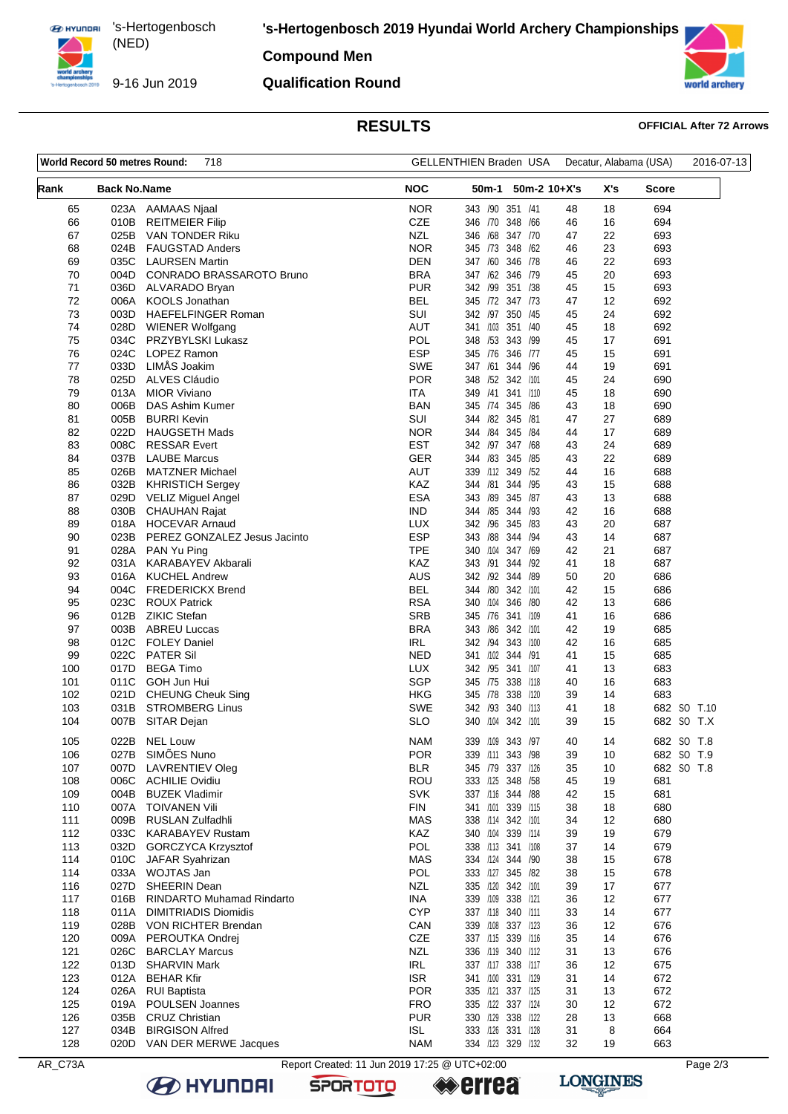**ED HYUNDRI** 's-Hertogenbosch (NED) 

9-16 Jun 2019

**'s-Hertogenbosch 2019 Hyundai World Archery Championships**

**Compound Men**

### **Qualification Round**



## **RESULTS OFFICIAL After 72 Arrows**

| World Record 50 metres Round:<br>718 |                     |                                                  | GELLENTHIEN Braden USA   |                                          | Decatur, Alabama (USA) | 2016-07-13             |             |
|--------------------------------------|---------------------|--------------------------------------------------|--------------------------|------------------------------------------|------------------------|------------------------|-------------|
| Rank                                 | <b>Back No.Name</b> |                                                  | <b>NOC</b>               | 50m-2 10+X's<br>50m-1                    |                        | X's<br><b>Score</b>    |             |
| 65                                   |                     | 023A AAMAAS Njaal                                | <b>NOR</b>               | 343 /90 351 /41                          | 48                     | 694<br>18              |             |
| 66                                   | 010B                | <b>REITMEIER Filip</b>                           | <b>CZE</b>               | 346 /70 348 /66                          | 46                     | 694<br>16<br>22        |             |
| 67<br>68                             | 025B<br>024B        | VAN TONDER Riku<br><b>FAUGSTAD Anders</b>        | NZL<br><b>NOR</b>        | 346 /68 347 /70<br>345 73 348 /62        | 47<br>46               | 693<br>23<br>693       |             |
| 69                                   | 035C                | <b>LAURSEN Martin</b>                            | DEN                      | 347 /60<br>346 /78                       | 46                     | 22<br>693              |             |
| 70                                   | 004D                | CONRADO BRASSAROTO Bruno                         | <b>BRA</b>               | 347 /62 346 /79                          | 45                     | 20<br>693              |             |
| 71                                   | 036D                | ALVARADO Bryan                                   | <b>PUR</b>               | 342 /99 351 /38                          | 45                     | 15<br>693              |             |
| 72                                   | 006A                | <b>KOOLS Jonathan</b>                            | BEL                      | 345 /72 347 /73                          | 47                     | 12<br>692              |             |
| 73                                   | 003D                | <b>HAEFELFINGER Roman</b>                        | <b>SUI</b>               | 342 /97 350 /45                          | 45                     | 24<br>692              |             |
| 74                                   |                     | 028D WIENER Wolfgang                             | AUT                      | 341 /103 351 /40                         | 45                     | 18<br>692              |             |
| 75                                   | 034C                | PRZYBYLSKI Lukasz                                | POL                      | 348 / 53<br>343 /99                      | 45                     | 17<br>691              |             |
| 76                                   | 024C                | LOPEZ Ramon                                      | <b>ESP</b>               | 345 /76<br>346 /77                       | 45                     | 15<br>691              |             |
| 77<br>78                             | 033D<br>025D        | LIMÅS Joakim<br>ALVES Cláudio                    | SWE<br><b>POR</b>        | 347 /61 344 /96                          | 44                     | 19<br>691<br>24        |             |
| 79                                   | 013A                | <b>MIOR Viviano</b>                              | ITA                      | 348 /52 342 /101<br>349 /41 341 /110     | 45<br>45               | 690<br>690<br>18       |             |
| 80                                   | 006B                | DAS Ashim Kumer                                  | BAN                      | 345 /74 345 /86                          | 43                     | 18<br>690              |             |
| 81                                   | 005B                | <b>BURRI Kevin</b>                               | <b>SUI</b>               | 344 /82<br>345 /81                       | 47                     | 27<br>689              |             |
| 82                                   | 022D                | <b>HAUGSETH Mads</b>                             | <b>NOR</b>               | 344 / 84 345 / 84                        | 44                     | 17<br>689              |             |
| 83                                   | 008C                | <b>RESSAR Evert</b>                              | <b>EST</b>               | 342 /97 347 /68                          | 43                     | 24<br>689              |             |
| 84                                   | 037B                | <b>LAUBE Marcus</b>                              | GER                      | 344 /83<br>345 /85                       | 43                     | 22<br>689              |             |
| 85                                   | 026B                | <b>MATZNER Michael</b>                           | AUT                      | 339 /112 349 /52                         | 44                     | 16<br>688              |             |
| 86                                   | 032B                | <b>KHRISTICH Sergey</b>                          | KAZ                      | 344 /81 344 /95                          | 43                     | 15<br>688              |             |
| 87                                   | 029D                | <b>VELIZ Miguel Angel</b>                        | <b>ESA</b>               | 343 /89<br>345 /87                       | 43                     | 13<br>688              |             |
| 88                                   | 030B                | <b>CHAUHAN Rajat</b>                             | <b>IND</b>               | 344 / 85 344 / 93                        | 42                     | 16<br>688              |             |
| 89                                   |                     | 018A HOCEVAR Arnaud                              | LUX                      | 342 /96 345 /83                          | 43                     | 20<br>687              |             |
| 90<br>91                             | 023B                | PEREZ GONZALEZ Jesus Jacinto<br>028A PAN Yu Ping | <b>ESP</b><br>TPE        | 343 / 88 344 / 94<br>340 /104 347 /69    | 43<br>42               | 14<br>687<br>21<br>687 |             |
| 92                                   | 031A                | KARABAYEV Akbarali                               | <b>KAZ</b>               | 343 /91<br>344 /92                       | 41                     | 18<br>687              |             |
| 93                                   |                     | 016A KUCHEL Andrew                               | AUS                      | 342 /92 344 /89                          | 50                     | 20<br>686              |             |
| 94                                   | 004C                | <b>FREDERICKX Brend</b>                          | <b>BEL</b>               | 344 /80 342 /101                         | 42                     | 15<br>686              |             |
| 95                                   | 023C                | <b>ROUX Patrick</b>                              | <b>RSA</b>               | 340 /104 346 /80                         | 42                     | 13<br>686              |             |
| 96                                   |                     | 012B ZIKIC Stefan                                | <b>SRB</b>               | 345 /76 341 /109                         | 41                     | 16<br>686              |             |
| 97                                   | 003B                | ABREU Luccas                                     | <b>BRA</b>               | 343 /86 342 /101                         | 42                     | 19<br>685              |             |
| 98                                   |                     | 012C FOLEY Daniel                                | IRL                      | 342 /94 343 /100                         | 42                     | 16<br>685              |             |
| 99                                   | 022C                | <b>PATER Sil</b>                                 | <b>NED</b>               | 341 /102 344 /91                         | 41                     | 15<br>685              |             |
| 100                                  | 017D                | <b>BEGA Timo</b>                                 | LUX<br><b>SGP</b>        | 342 /95 341 /107<br>345 /75 338 /118     | 41                     | 13<br>683              |             |
| 101<br>102                           | 011C<br>021D        | GOH Jun Hui<br><b>CHEUNG Cheuk Sing</b>          | HKG                      | 345 /78 338 /120                         | 40<br>39               | 16<br>683<br>683<br>14 |             |
| 103                                  |                     | 031B STROMBERG Linus                             | SWE                      | 342 /93 340 /113                         | 41                     | 18                     | 682 SO T.10 |
| 104                                  |                     | 007B SITAR Dejan                                 | SLO                      | 340 /104 342 /101                        | 39                     | 15                     | 682 SO T.X  |
| 105                                  |                     | 022B NEL Louw                                    | <b>NAM</b>               | 339 /109 343 /97                         | 40                     | 14                     | 682 SO T.8  |
| 106                                  |                     | 027B SIMÕES Nuno                                 | <b>POR</b>               | 339 /111 343 /98                         | 39                     | 10                     | 682 SO T.9  |
| 107                                  | 007D                | LAVRENTIEV Oleg                                  | <b>BLR</b>               | 345 /79 337 /126                         | 35                     | 10                     | 682 SO T.8  |
| 108                                  | 006C                | ACHILIE Ovidiu                                   | <b>ROU</b><br><b>SVK</b> | 333 /125 348 /58                         | 45                     | 19<br>681<br>15<br>681 |             |
| 109<br>110                           | 004B                | <b>BUZEK Vladimir</b><br>007A TOIVANEN Vili      | <b>FIN</b>               | 337 /116 344 /88<br>341 /101<br>339 /115 | 42<br>38               | 680<br>18              |             |
| 111                                  | 009B                | RUSLAN Zulfadhli                                 | <b>MAS</b>               | 338 /114 342 /101                        | 34                     | 680<br>12              |             |
| 112                                  | 033C                | <b>KARABAYEV Rustam</b>                          | KAZ                      | 340 /104 339 /114                        | 39                     | 19<br>679              |             |
| 113                                  |                     | 032D GORCZYCA Krzysztof                          | POL                      | 338 /113 341 /108                        | 37                     | 14<br>679              |             |
| 114                                  | 010C                | JAFAR Syahrizan                                  | <b>MAS</b>               | 334 /124 344 /90                         | 38                     | 678<br>15              |             |
| 114                                  |                     | 033A WOJTAS Jan                                  | POL                      | 333 /127 345 /82                         | 38                     | 15<br>678              |             |
| 116                                  | 027D                | <b>SHEERIN Dean</b>                              | <b>NZL</b>               | 335 /120 342 /101                        | 39                     | 17<br>677              |             |
| 117                                  | 016B                | <b>RINDARTO Muhamad Rindarto</b>                 | <b>INA</b>               | 339 /109 338 /121                        | 36                     | 12<br>677              |             |
| 118                                  | 011A                | <b>DIMITRIADIS Diomidis</b>                      | <b>CYP</b>               | 337 /118 340 /111                        | 33                     | 14<br>677              |             |
| 119                                  |                     | 028B VON RICHTER Brendan                         | CAN                      | 339 /108 337 /123                        | 36                     | 12<br>676              |             |
| 120<br>121                           | 026C                | 009A PEROUTKA Ondrej<br><b>BARCLAY Marcus</b>    | CZE<br><b>NZL</b>        | 337 /115 339 /116<br>336 /119 340 /112   | 35<br>31               | 14<br>676<br>13<br>676 |             |
| 122                                  |                     | 013D SHARVIN Mark                                | IRL                      | 337 /117 338 /117                        | 36                     | 12<br>675              |             |
| 123                                  | 012A                | <b>BEHAR Kfir</b>                                | <b>ISR</b>               | 341 /100 331 /129                        | 31                     | 14<br>672              |             |
| 124                                  | 026A                | RUI Baptista                                     | <b>POR</b>               | 335 /121 337 /125                        | 31                     | 13<br>672              |             |
| 125                                  | 019A                | POULSEN Joannes                                  | <b>FRO</b>               | 335 /122 337 /124                        | 30                     | 12<br>672              |             |
| 126                                  | 035B                | <b>CRUZ Christian</b>                            | <b>PUR</b>               | 330 /129 338 /122                        | 28                     | 13<br>668              |             |
| 127                                  | 034B                | <b>BIRGISON Alfred</b>                           | <b>ISL</b>               | 333 /126 331 /128                        | 31                     | 8<br>664               |             |
| 128                                  |                     | 020D VAN DER MERWE Jacques                       | <b>NAM</b>               | 334 /123 329 /132                        | 32                     | 19<br>663              |             |
| AR_C73A                              |                     | Report Created: 11 Jun 2019 17:25 @ UTC+02:00    |                          |                                          |                        |                        | Page 2/3    |

**B** HYUNDAI

**SPORTOTO** 

**errea** 

**LONGINES**